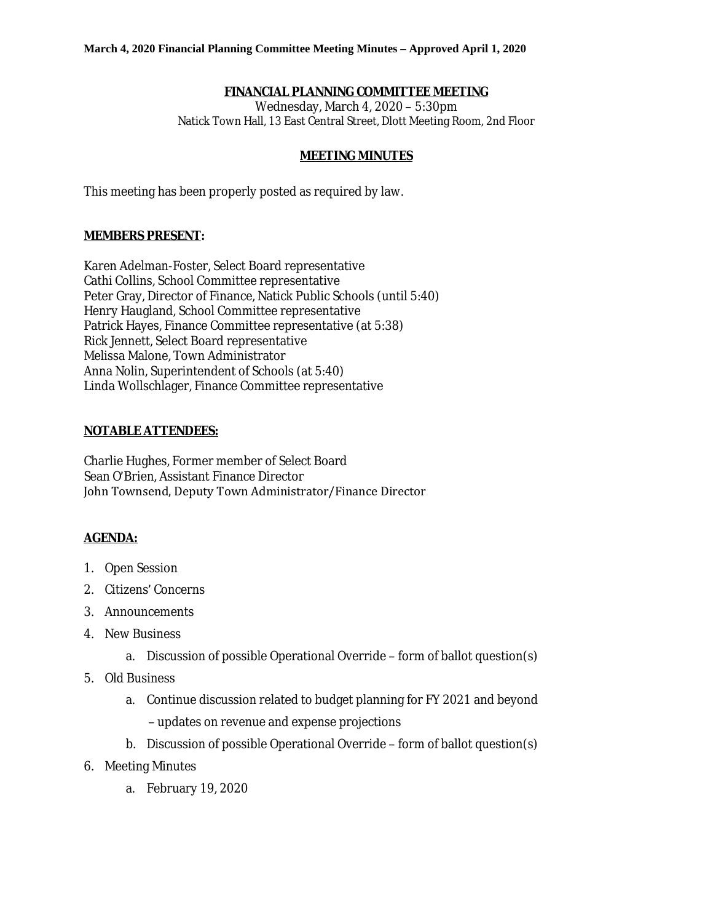# **FINANCIAL PLANNING COMMITTEE MEETING**

Wednesday, March 4, 2020 – 5:30pm Natick Town Hall, 13 East Central Street, Dlott Meeting Room, 2nd Floor

#### **MEETING MINUTES**

This meeting has been properly posted as required by law.

## **MEMBERS PRESENT:**

Karen Adelman-Foster, Select Board representative Cathi Collins, School Committee representative Peter Gray, Director of Finance, Natick Public Schools (until 5:40) Henry Haugland, School Committee representative Patrick Hayes, Finance Committee representative (at 5:38) Rick Jennett, Select Board representative Melissa Malone, Town Administrator Anna Nolin, Superintendent of Schools (at 5:40) Linda Wollschlager, Finance Committee representative

#### **NOTABLE ATTENDEES:**

Charlie Hughes, Former member of Select Board Sean O'Brien, Assistant Finance Director John Townsend, Deputy Town Administrator/Finance Director

# **AGENDA:**

- 1. Open Session
- 2. Citizens' Concerns
- 3. Announcements
- 4. New Business
	- a. Discussion of possible Operational Override form of ballot question(s)
- 5. Old Business
	- a. Continue discussion related to budget planning for FY 2021 and beyond – updates on revenue and expense projections
	- b. Discussion of possible Operational Override form of ballot question(s)
- 6. Meeting Minutes
	- a. February 19, 2020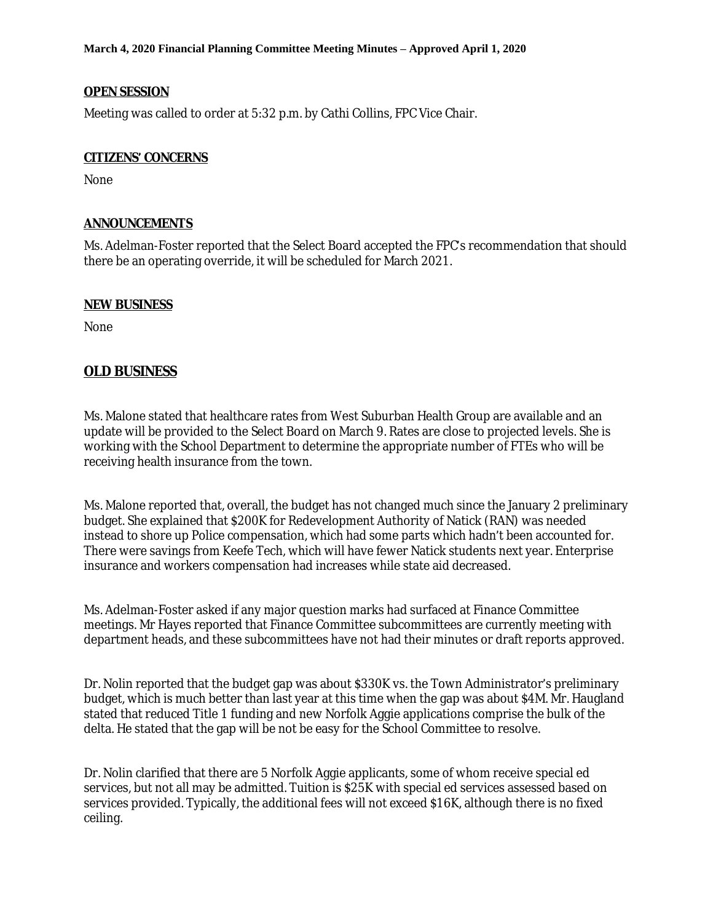**March 4, 2020 Financial Planning Committee Meeting Minutes – Approved April 1, 2020**

### **OPEN SESSION**

Meeting was called to order at 5:32 p.m. by Cathi Collins, FPC Vice Chair.

### **CITIZENS' CONCERNS**

None

# **ANNOUNCEMENTS**

Ms. Adelman-Foster reported that the Select Board accepted the FPC's recommendation that should there be an operating override, it will be scheduled for March 2021.

## **NEW BUSINESS**

None

# **OLD BUSINESS**

Ms. Malone stated that healthcare rates from West Suburban Health Group are available and an update will be provided to the Select Board on March 9. Rates are close to projected levels. She is working with the School Department to determine the appropriate number of FTEs who will be receiving health insurance from the town.

Ms. Malone reported that, overall, the budget has not changed much since the January 2 preliminary budget. She explained that \$200K for Redevelopment Authority of Natick (RAN) was needed instead to shore up Police compensation, which had some parts which hadn't been accounted for. There were savings from Keefe Tech, which will have fewer Natick students next year. Enterprise insurance and workers compensation had increases while state aid decreased.

Ms. Adelman-Foster asked if any major question marks had surfaced at Finance Committee meetings. Mr Hayes reported that Finance Committee subcommittees are currently meeting with department heads, and these subcommittees have not had their minutes or draft reports approved.

Dr. Nolin reported that the budget gap was about \$330K vs. the Town Administrator's preliminary budget, which is much better than last year at this time when the gap was about \$4M. Mr. Haugland stated that reduced Title 1 funding and new Norfolk Aggie applications comprise the bulk of the delta. He stated that the gap will be not be easy for the School Committee to resolve.

Dr. Nolin clarified that there are 5 Norfolk Aggie applicants, some of whom receive special ed services, but not all may be admitted. Tuition is \$25K with special ed services assessed based on services provided. Typically, the additional fees will not exceed \$16K, although there is no fixed ceiling.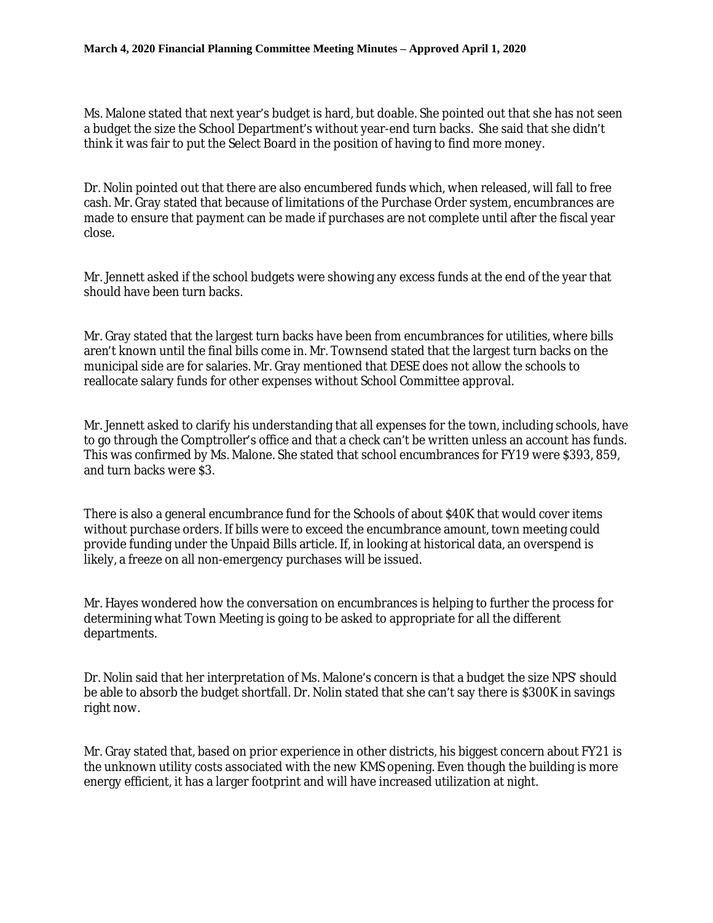Ms. Malone stated that next year's budget is hard, but doable. She pointed out that she has not seen a budget the size the School Department's without year-end turn backs. She said that she didn't think it was fair to put the Select Board in the position of having to find more money.

Dr. Nolin pointed out that there are also encumbered funds which, when released, will fall to free cash. Mr. Gray stated that because of limitations of the Purchase Order system, encumbrances are made to ensure that payment can be made if purchases are not complete until after the fiscal year close.

Mr. Jennett asked if the school budgets were showing any excess funds at the end of the year that should have been turn backs.

Mr. Gray stated that the largest turn backs have been from encumbrances for utilities, where bills aren't known until the final bills come in. Mr. Townsend stated that the largest turn backs on the municipal side are for salaries. Mr. Gray mentioned that DESE does not allow the schools to reallocate salary funds for other expenses without School Committee approval.

Mr. Jennett asked to clarify his understanding that all expenses for the town, including schools, have to go through the Comptroller's office and that a check can't be written unless an account has funds. This was confirmed by Ms. Malone. She stated that school encumbrances for FY19 were \$393, 859, and turn backs were \$3.

There is also a general encumbrance fund for the Schools of about \$40K that would cover items without purchase orders. If bills were to exceed the encumbrance amount, town meeting could provide funding under the Unpaid Bills article. If, in looking at historical data, an overspend is likely, a freeze on all non-emergency purchases will be issued.

Mr. Hayes wondered how the conversation on encumbrances is helping to further the process for determining what Town Meeting is going to be asked to appropriate for all the different departments.

Dr. Nolin said that her interpretation of Ms. Malone's concern is that a budget the size NPS' should be able to absorb the budget shortfall. Dr. Nolin stated that she can't say there is \$300K in savings right now.

Mr. Gray stated that, based on prior experience in other districts, his biggest concern about FY21 is the unknown utility costs associated with the new KMS opening. Even though the building is more energy efficient, it has a larger footprint and will have increased utilization at night.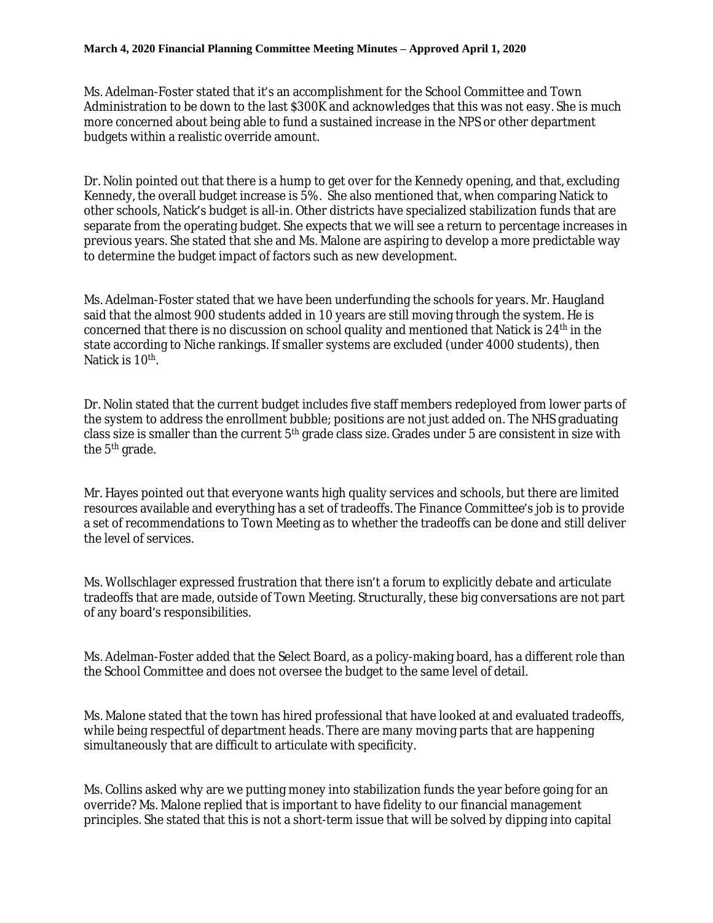#### **March 4, 2020 Financial Planning Committee Meeting Minutes – Approved April 1, 2020**

Ms. Adelman-Foster stated that it's an accomplishment for the School Committee and Town Administration to be down to the last \$300K and acknowledges that this was not easy. She is much more concerned about being able to fund a sustained increase in the NPS or other department budgets within a realistic override amount.

Dr. Nolin pointed out that there is a hump to get over for the Kennedy opening, and that, excluding Kennedy, the overall budget increase is 5%. She also mentioned that, when comparing Natick to other schools, Natick's budget is all-in. Other districts have specialized stabilization funds that are separate from the operating budget. She expects that we will see a return to percentage increases in previous years. She stated that she and Ms. Malone are aspiring to develop a more predictable way to determine the budget impact of factors such as new development.

Ms. Adelman-Foster stated that we have been underfunding the schools for years. Mr. Haugland said that the almost 900 students added in 10 years are still moving through the system. He is concerned that there is no discussion on school quality and mentioned that Natick is 24<sup>th</sup> in the state according to Niche rankings. If smaller systems are excluded (under 4000 students), then Natick is 10<sup>th</sup>.

Dr. Nolin stated that the current budget includes five staff members redeployed from lower parts of the system to address the enrollment bubble; positions are not just added on. The NHS graduating class size is smaller than the current 5<sup>th</sup> grade class size. Grades under 5 are consistent in size with the 5<sup>th</sup> grade.

Mr. Hayes pointed out that everyone wants high quality services and schools, but there are limited resources available and everything has a set of tradeoffs. The Finance Committee's job is to provide a set of recommendations to Town Meeting as to whether the tradeoffs can be done and still deliver the level of services.

Ms. Wollschlager expressed frustration that there isn't a forum to explicitly debate and articulate tradeoffs that are made, outside of Town Meeting. Structurally, these big conversations are not part of any board's responsibilities.

Ms. Adelman-Foster added that the Select Board, as a policy-making board, has a different role than the School Committee and does not oversee the budget to the same level of detail.

Ms. Malone stated that the town has hired professional that have looked at and evaluated tradeoffs, while being respectful of department heads. There are many moving parts that are happening simultaneously that are difficult to articulate with specificity.

Ms. Collins asked why are we putting money into stabilization funds the year before going for an override? Ms. Malone replied that is important to have fidelity to our financial management principles. She stated that this is not a short-term issue that will be solved by dipping into capital